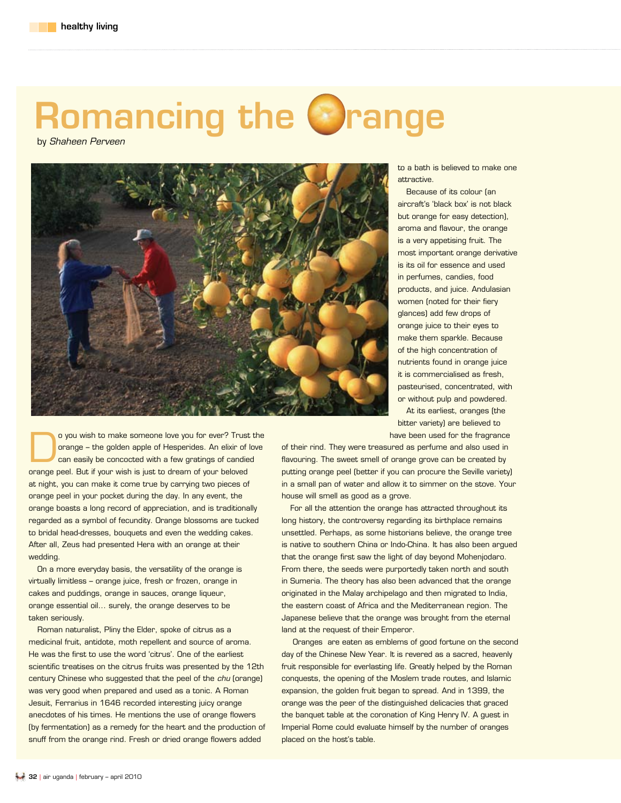## Romancing the Orange

by *Shaheen Perveen*



to a bath is believed to make one attractive.

Because of its colour (an aircraft's 'black box' is not black but orange for easy detection), aroma and flavour, the orange is a very appetising fruit. The most important orange derivative is its oil for essence and used in perfumes, candies, food products, and juice. Andulasian women (noted for their fiery glances) add few drops of orange juice to their eyes to make them sparkle. Because of the high concentration of nutrients found in orange juice it is commercialised as fresh, pasteurised, concentrated, with or without pulp and powdered. At its earliest, oranges (the bitter variety) are believed to

have been used for the fragrance

o you wish to make someone love you for ever? Trust the<br>orange – the golden apple of Hesperides. An elixir of love<br>can easily be concocted with a few gratings of candied orange – the golden apple of Hesperides. An elixir of love can easily be concocted with a few gratings of candied orange peel. But if your wish is just to dream of your beloved at night, you can make it come true by carrying two pieces of orange peel in your pocket during the day. In any event, the orange boasts a long record of appreciation, and is traditionally regarded as a symbol of fecundity. Orange blossoms are tucked to bridal head-dresses, bouquets and even the wedding cakes. After all, Zeus had presented Hera with an orange at their wedding.

On a more everyday basis, the versatility of the orange is virtually limitless – orange juice, fresh or frozen, orange in cakes and puddings, orange in sauces, orange liqueur, orange essential oil... surely, the orange deserves to be taken seriously.

Roman naturalist, Pliny the Elder, spoke of citrus as a medicinal fruit, antidote, moth repellent and source of aroma. He was the first to use the word 'citrus'. One of the earliest scientific treatises on the citrus fruits was presented by the 12th century Chinese who suggested that the peel of the *chu* (orange) was very good when prepared and used as a tonic. A Roman Jesuit, Ferrarius in 1646 recorded interesting juicy orange anecdotes of his times. He mentions the use of orange flowers (by fermentation) as a remedy for the heart and the production of snuff from the orange rind. Fresh or dried orange flowers added

of their rind. They were treasured as perfume and also used in flavouring. The sweet smell of orange grove can be created by putting orange peel (better if you can procure the Seville variety) in a small pan of water and allow it to simmer on the stove. Your house will smell as good as a grove.

For all the attention the orange has attracted throughout its long history, the controversy regarding its birthplace remains unsettled. Perhaps, as some historians believe, the orange tree is native to southern China or Indo-China. It has also been argued that the orange first saw the light of day beyond Mohenjodaro. From there, the seeds were purportedly taken north and south in Sumeria. The theory has also been advanced that the orange originated in the Malay archipelago and then migrated to India, the eastern coast of Africa and the Mediterranean region. The Japanese believe that the orange was brought from the eternal land at the request of their Emperor.

 Oranges are eaten as emblems of good fortune on the second day of the Chinese New Year. It is revered as a sacred, heavenly fruit responsible for everlasting life. Greatly helped by the Roman conquests, the opening of the Moslem trade routes, and Islamic expansion, the golden fruit began to spread. And in 1399, the orange was the peer of the distinguished delicacies that graced the banquet table at the coronation of King Henry IV. A guest in Imperial Rome could evaluate himself by the number of oranges placed on the host's table.